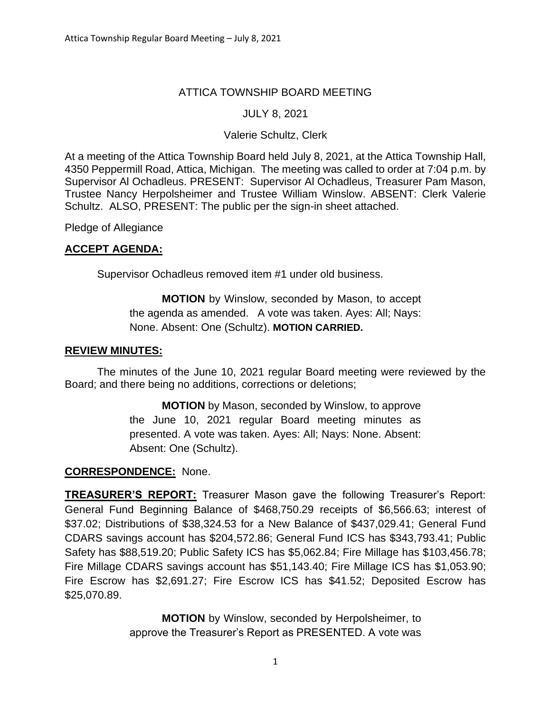# ATTICA TOWNSHIP BOARD MEETING

## JULY 8, 2021

## Valerie Schultz, Clerk

At a meeting of the Attica Township Board held July 8, 2021, at the Attica Township Hall, 4350 Peppermill Road, Attica, Michigan. The meeting was called to order at 7:04 p.m. by Supervisor Al Ochadleus. PRESENT: Supervisor Al Ochadleus, Treasurer Pam Mason, Trustee Nancy Herpolsheimer and Trustee William Winslow. ABSENT: Clerk Valerie Schultz. ALSO, PRESENT: The public per the sign-in sheet attached.

Pledge of Allegiance

### **ACCEPT AGENDA:**

Supervisor Ochadleus removed item #1 under old business.

# **MOTION** by Winslow, seconded by Mason, to accept the agenda as amended. A vote was taken. Ayes: All; Nays: None. Absent: One (Schultz). **MOTION CARRIED.**

## **REVIEW MINUTES:**

The minutes of the June 10, 2021 regular Board meeting were reviewed by the Board; and there being no additions, corrections or deletions;

> **MOTION** by Mason, seconded by Winslow, to approve the June 10, 2021 regular Board meeting minutes as presented. A vote was taken. Ayes: All; Nays: None. Absent: Absent: One (Schultz).

### **CORRESPONDENCE:** None.

**TREASURER'S REPORT:** Treasurer Mason gave the following Treasurer's Report: General Fund Beginning Balance of \$468,750.29 receipts of \$6,566.63; interest of \$37.02; Distributions of \$38,324.53 for a New Balance of \$437,029.41; General Fund CDARS savings account has \$204,572.86; General Fund ICS has \$343,793.41; Public Safety has \$88,519.20; Public Safety ICS has \$5,062.84; Fire Millage has \$103,456.78; Fire Millage CDARS savings account has \$51,143.40; Fire Millage ICS has \$1,053.90; Fire Escrow has \$2,691.27; Fire Escrow ICS has \$41.52; Deposited Escrow has \$25,070.89.

> **MOTION** by Winslow, seconded by Herpolsheimer, to approve the Treasurer's Report as PRESENTED. A vote was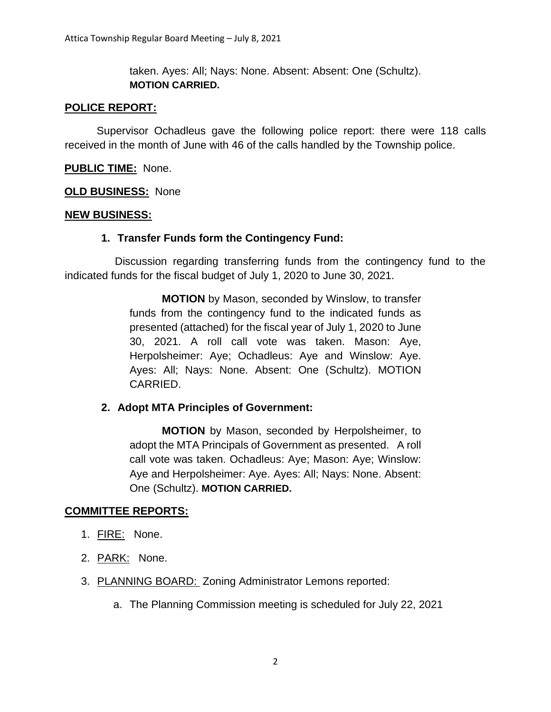taken. Ayes: All; Nays: None. Absent: Absent: One (Schultz). **MOTION CARRIED.**

## **POLICE REPORT:**

Supervisor Ochadleus gave the following police report: there were 118 calls received in the month of June with 46 of the calls handled by the Township police.

## **PUBLIC TIME:** None.

### **OLD BUSINESS:** None

### **NEW BUSINESS:**

### **1. Transfer Funds form the Contingency Fund:**

 Discussion regarding transferring funds from the contingency fund to the indicated funds for the fiscal budget of July 1, 2020 to June 30, 2021.

> **MOTION** by Mason, seconded by Winslow, to transfer funds from the contingency fund to the indicated funds as presented (attached) for the fiscal year of July 1, 2020 to June 30, 2021. A roll call vote was taken. Mason: Aye, Herpolsheimer: Aye; Ochadleus: Aye and Winslow: Aye. Ayes: All; Nays: None. Absent: One (Schultz). MOTION CARRIED.

### **2. Adopt MTA Principles of Government:**

**MOTION** by Mason, seconded by Herpolsheimer, to adopt the MTA Principals of Government as presented. A roll call vote was taken. Ochadleus: Aye; Mason: Aye; Winslow: Aye and Herpolsheimer: Aye. Ayes: All; Nays: None. Absent: One (Schultz). **MOTION CARRIED.**

### **COMMITTEE REPORTS:**

- 1. FIRE: None.
- 2. PARK: None.
- 3. PLANNING BOARD: Zoning Administrator Lemons reported:
	- a. The Planning Commission meeting is scheduled for July 22, 2021